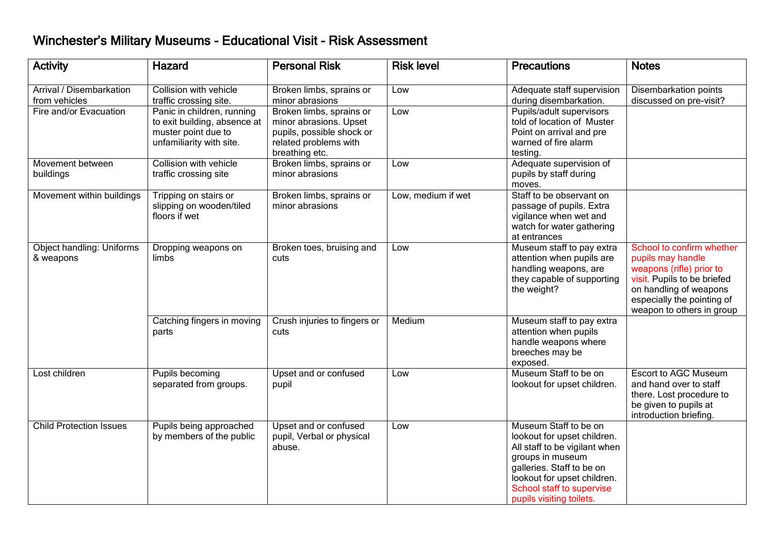## Winchester's Military Museums - Educational Visit - Risk Assessment

| <b>Activity</b>                           | Hazard                                                                                                        | <b>Personal Risk</b>                                                                                                       | <b>Risk level</b>  | <b>Precautions</b>                                                                                                                                                                                                             | <b>Notes</b>                                                                                                                                                                                   |
|-------------------------------------------|---------------------------------------------------------------------------------------------------------------|----------------------------------------------------------------------------------------------------------------------------|--------------------|--------------------------------------------------------------------------------------------------------------------------------------------------------------------------------------------------------------------------------|------------------------------------------------------------------------------------------------------------------------------------------------------------------------------------------------|
| Arrival / Disembarkation<br>from vehicles | Collision with vehicle<br>traffic crossing site.                                                              | Broken limbs, sprains or<br>minor abrasions                                                                                | Low                | Adequate staff supervision<br>during disembarkation.                                                                                                                                                                           | Disembarkation points<br>discussed on pre-visit?                                                                                                                                               |
| Fire and/or Evacuation                    | Panic in children, running<br>to exit building, absence at<br>muster point due to<br>unfamiliarity with site. | Broken limbs, sprains or<br>minor abrasions. Upset<br>pupils, possible shock or<br>related problems with<br>breathing etc. | Low                | Pupils/adult supervisors<br>told of location of Muster<br>Point on arrival and pre<br>warned of fire alarm<br>testing.                                                                                                         |                                                                                                                                                                                                |
| Movement between<br>buildings             | <b>Collision with vehicle</b><br>traffic crossing site                                                        | Broken limbs, sprains or<br>minor abrasions                                                                                | Low                | Adequate supervision of<br>pupils by staff during<br>moves.                                                                                                                                                                    |                                                                                                                                                                                                |
| Movement within buildings                 | Tripping on stairs or<br>slipping on wooden/tiled<br>floors if wet                                            | Broken limbs, sprains or<br>minor abrasions                                                                                | Low, medium if wet | Staff to be observant on<br>passage of pupils. Extra<br>vigilance when wet and<br>watch for water gathering<br>at entrances                                                                                                    |                                                                                                                                                                                                |
| Object handling: Uniforms<br>& weapons    | Dropping weapons on<br>limbs                                                                                  | Broken toes, bruising and<br>cuts                                                                                          | Low                | Museum staff to pay extra<br>attention when pupils are<br>handling weapons, are<br>they capable of supporting<br>the weight?                                                                                                   | School to confirm whether<br>pupils may handle<br>weapons (rifle) prior to<br>visit. Pupils to be briefed<br>on handling of weapons<br>especially the pointing of<br>weapon to others in group |
|                                           | Catching fingers in moving<br>parts                                                                           | Crush injuries to fingers or<br>cuts                                                                                       | Medium             | Museum staff to pay extra<br>attention when pupils<br>handle weapons where<br>breeches may be<br>exposed.                                                                                                                      |                                                                                                                                                                                                |
| Lost children                             | Pupils becoming<br>separated from groups.                                                                     | Upset and or confused<br>pupil                                                                                             | Low                | Museum Staff to be on<br>lookout for upset children.                                                                                                                                                                           | <b>Escort to AGC Museum</b><br>and hand over to staff<br>there. Lost procedure to<br>be given to pupils at<br>introduction briefing.                                                           |
| <b>Child Protection Issues</b>            | Pupils being approached<br>by members of the public                                                           | Upset and or confused<br>pupil, Verbal or physical<br>abuse.                                                               | Low                | Museum Staff to be on<br>lookout for upset children.<br>All staff to be vigilant when<br>groups in museum<br>galleries. Staff to be on<br>lookout for upset children.<br>School staff to supervise<br>pupils visiting toilets. |                                                                                                                                                                                                |